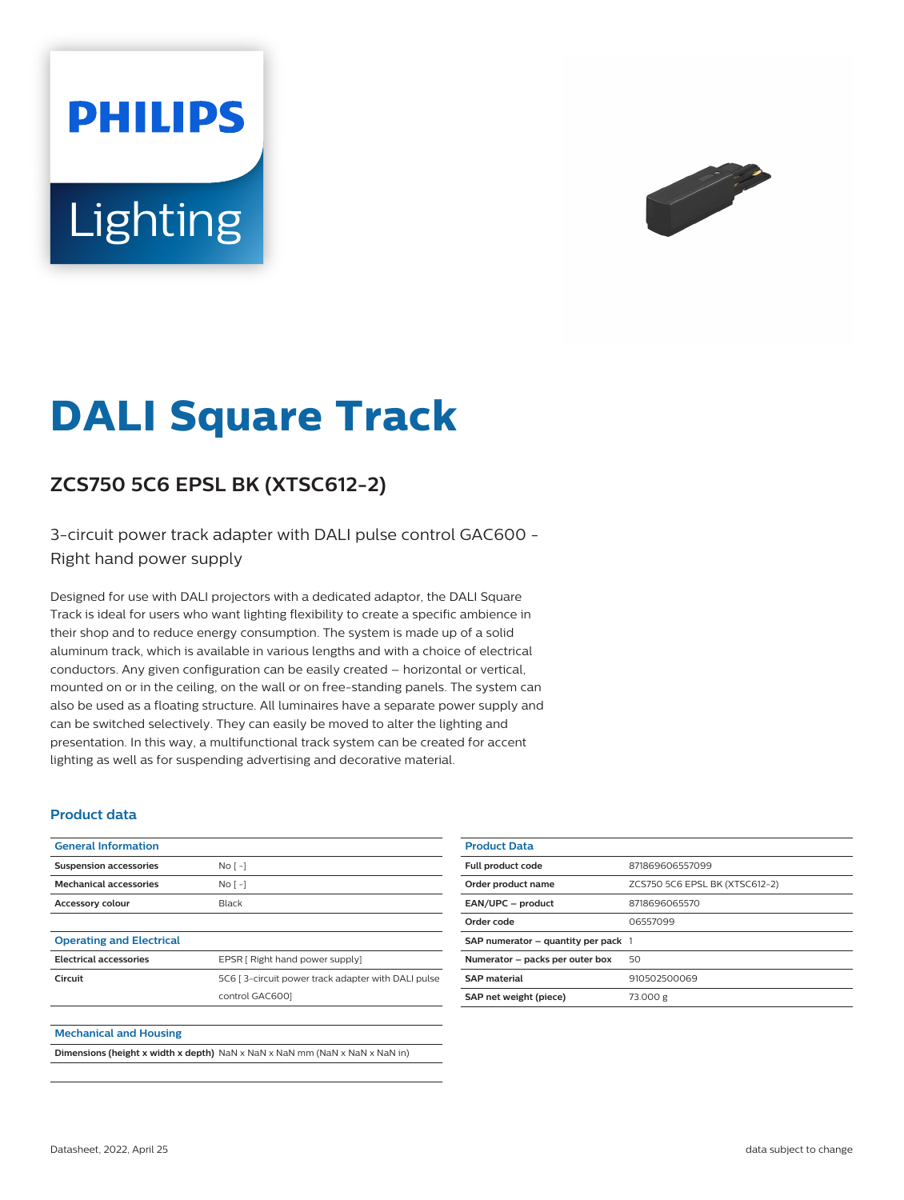# **PHILIPS** Lighting



# **DALI Square Track**

## **ZCS750 5C6 EPSL BK (XTSC612-2)**

3-circuit power track adapter with DALI pulse control GAC600 - Right hand power supply

Designed for use with DALI projectors with a dedicated adaptor, the DALI Square Track is ideal for users who want lighting flexibility to create a specific ambience in their shop and to reduce energy consumption. The system is made up of a solid aluminum track, which is available in various lengths and with a choice of electrical conductors. Any given configuration can be easily created – horizontal or vertical, mounted on or in the ceiling, on the wall or on free-standing panels. The system can also be used as a floating structure. All luminaires have a separate power supply and can be switched selectively. They can easily be moved to alter the lighting and presentation. In this way, a multifunctional track system can be created for accent lighting as well as for suspending advertising and decorative material.

#### **Product data**

| <b>General Information</b>      |                                                    |
|---------------------------------|----------------------------------------------------|
| <b>Suspension accessories</b>   | No <sub>1</sub>                                    |
| <b>Mechanical accessories</b>   | No <sub>1</sub>                                    |
| <b>Accessory colour</b>         | Black                                              |
|                                 |                                                    |
| <b>Operating and Electrical</b> |                                                    |
| <b>Electrical accessories</b>   | EPSR [ Right hand power supply]                    |
| Circuit                         | 5C6 [3-circuit power track adapter with DALI pulse |
|                                 | control GAC6001                                    |
|                                 |                                                    |
| <b>Mechanical and Housing</b>   |                                                    |

**Dimensions (height x width x depth)** NaN x NaN x NaN mm (NaN x NaN x NaN in)

| <b>Product Data</b>                     |                                |
|-----------------------------------------|--------------------------------|
| Full product code                       | 871869606557099                |
| Order product name                      | ZCS750 5C6 EPSL BK (XTSC612-2) |
| EAN/UPC - product                       | 8718696065570                  |
| Order code                              | 06557099                       |
| SAP numerator $-$ quantity per pack $1$ |                                |
| Numerator - packs per outer box         | 50                             |
| <b>SAP</b> material                     | 910502500069                   |
| SAP net weight (piece)                  | 73.000 g                       |
|                                         |                                |